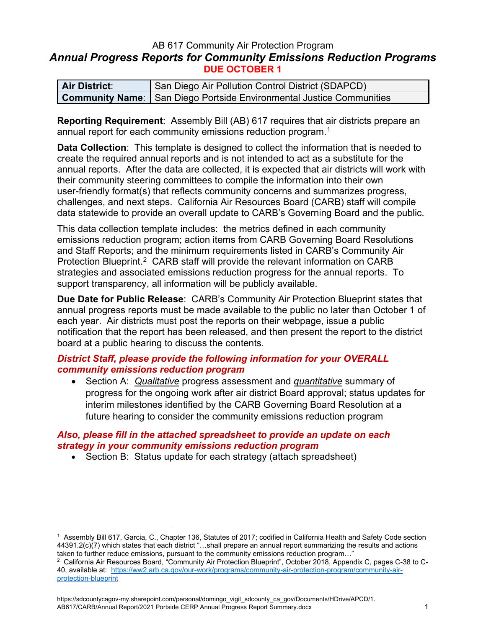## AB 617 Community Air Protection Program *Annual Progress Reports for Community Emissions Reduction Programs* **DUE OCTOBER 1**

| <b>Air District:</b> | San Diego Air Pollution Control District (SDAPCD)                             |  |
|----------------------|-------------------------------------------------------------------------------|--|
|                      | <b>Community Name:</b>   San Diego Portside Environmental Justice Communities |  |

**Reporting Requirement**: Assembly Bill (AB) 617 requires that air districts prepare an annual report for each community emissions reduction program.<sup>[1](#page-0-0)</sup>

**Data Collection**: This template is designed to collect the information that is needed to create the required annual reports and is not intended to act as a substitute for the annual reports. After the data are collected, it is expected that air districts will work with their community steering committees to compile the information into their own user-friendly format(s) that reflects community concerns and summarizes progress, challenges, and next steps. California Air Resources Board (CARB) staff will compile data statewide to provide an overall update to CARB's Governing Board and the public.

This data collection template includes: the metrics defined in each community emissions reduction program; action items from CARB Governing Board Resolutions and Staff Reports; and the minimum requirements listed in CARB's Community Air Protection Blueprint.<sup>2</sup> CARB staff will provide the relevant information on CARB strategies and associated emissions reduction progress for the annual reports. To support transparency, all information will be publicly available.

**Due Date for Public Release**: CARB's Community Air Protection Blueprint states that annual progress reports must be made available to the public no later than October 1 of each year. Air districts must post the reports on their webpage, issue a public notification that the report has been released, and then present the report to the district board at a public hearing to discuss the contents.

# *District Staff, please provide the following information for your OVERALL community emissions reduction program*

• Section A: *Qualitative* progress assessment and *quantitative* summary of progress for the ongoing work after air district Board approval; status updates for interim milestones identified by the CARB Governing Board Resolution at a future hearing to consider the community emissions reduction program

## *Also, please fill in the attached spreadsheet to provide an update on each strategy in your community emissions reduction program*

• Section B: Status update for each strategy (attach spreadsheet)

<span id="page-0-0"></span><sup>1</sup> Assembly Bill 617, Garcia, C., Chapter 136, Statutes of 2017; codified in California Health and Safety Code section 44391.2(c)(7) which states that each district "…shall prepare an annual report summarizing the results and actions taken to further reduce emissions, pursuant to the community emissions reduction program…"

<span id="page-0-1"></span><sup>2</sup> California Air Resources Board, "Community Air Protection Blueprint", October 2018, Appendix C, pages C-38 to C-40, available at: [https://ww2.arb.ca.gov/our-work/programs/community-air-protection-program/community-air](https://ww2.arb.ca.gov/our-work/programs/community-air-protection-program/community-air-protection-blueprint)[protection-blueprint](https://ww2.arb.ca.gov/our-work/programs/community-air-protection-program/community-air-protection-blueprint)

https://sdcountycagov-my.sharepoint.com/personal/domingo\_vigil\_sdcounty\_ca\_gov/Documents/HDrive/APCD/1. AB617/CARB/Annual Report/2021 Portside CERP Annual Progress Report Summary.docx 1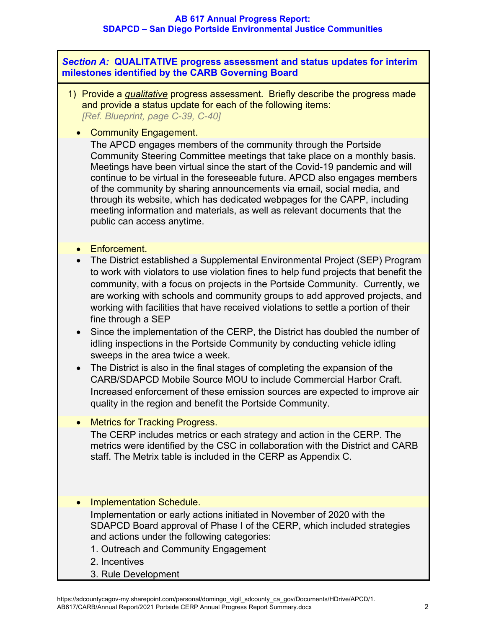*Section A:* **QUALITATIVE progress assessment and status updates for interim milestones identified by the CARB Governing Board**

- 1) Provide a *qualitative* progress assessment. Briefly describe the progress made and provide a status update for each of the following items: *[Ref. Blueprint, page C-39, C-40]*
	- Community Engagement.

The APCD engages members of the community through the Portside Community Steering Committee meetings that take place on a monthly basis. Meetings have been virtual since the start of the Covid-19 pandemic and will continue to be virtual in the foreseeable future. APCD also engages members of the community by sharing announcements via email, social media, and through its website, which has dedicated webpages for the CAPP, including meeting information and materials, as well as relevant documents that the public can access anytime.

- Enforcement.
- The District established a Supplemental Environmental Project (SEP) Program to work with violators to use violation fines to help fund projects that benefit the community, with a focus on projects in the Portside Community. Currently, we are working with schools and community groups to add approved projects, and working with facilities that have received violations to settle a portion of their fine through a SEP
- Since the implementation of the CERP, the District has doubled the number of idling inspections in the Portside Community by conducting vehicle idling sweeps in the area twice a week.
- The District is also in the final stages of completing the expansion of the CARB/SDAPCD Mobile Source MOU to include Commercial Harbor Craft. Increased enforcement of these emission sources are expected to improve air quality in the region and benefit the Portside Community.
- Metrics for Tracking Progress.

The CERP includes metrics or each strategy and action in the CERP. The metrics were identified by the CSC in collaboration with the District and CARB staff. The Metrix table is included in the CERP as Appendix C.

- Implementation Schedule. Implementation or early actions initiated in November of 2020 with the SDAPCD Board approval of Phase I of the CERP, which included strategies and actions under the following categories:
	- 1. Outreach and Community Engagement
	- 2. Incentives
	- 3. Rule Development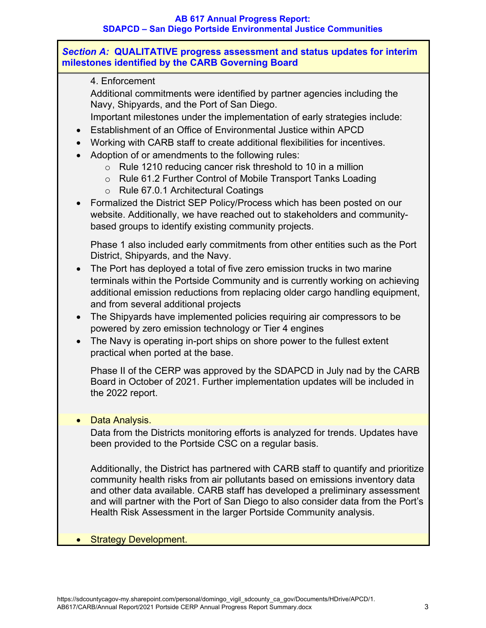## *Section A:* **QUALITATIVE progress assessment and status updates for interim milestones identified by the CARB Governing Board**

## 4. Enforcement

Additional commitments were identified by partner agencies including the Navy, Shipyards, and the Port of San Diego.

Important milestones under the implementation of early strategies include:

- Establishment of an Office of Environmental Justice within APCD
- Working with CARB staff to create additional flexibilities for incentives.
- Adoption of or amendments to the following rules:
	- o Rule 1210 reducing cancer risk threshold to 10 in a million
	- o Rule 61.2 Further Control of Mobile Transport Tanks Loading
	- o Rule 67.0.1 Architectural Coatings
- Formalized the District SEP Policy/Process which has been posted on our website. Additionally, we have reached out to stakeholders and communitybased groups to identify existing community projects.

Phase 1 also included early commitments from other entities such as the Port District, Shipyards, and the Navy.

- The Port has deployed a total of five zero emission trucks in two marine terminals within the Portside Community and is currently working on achieving additional emission reductions from replacing older cargo handling equipment, and from several additional projects
- The Shipyards have implemented policies requiring air compressors to be powered by zero emission technology or Tier 4 engines
- The Navy is operating in-port ships on shore power to the fullest extent practical when ported at the base.

Phase II of the CERP was approved by the SDAPCD in July nad by the CARB Board in October of 2021. Further implementation updates will be included in the 2022 report.

# • Data Analysis.

Data from the Districts monitoring efforts is analyzed for trends. Updates have been provided to the Portside CSC on a regular basis.

Additionally, the District has partnered with CARB staff to quantify and prioritize community health risks from air pollutants based on emissions inventory data and other data available. CARB staff has developed a preliminary assessment and will partner with the Port of San Diego to also consider data from the Port's Health Risk Assessment in the larger Portside Community analysis.

# • Strategy Development.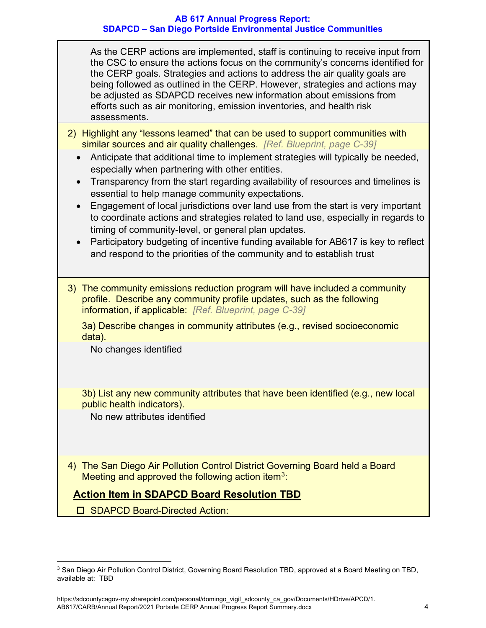As the CERP actions are implemented, staff is continuing to receive input from the CSC to ensure the actions focus on the community's concerns identified for the CERP goals. Strategies and actions to address the air quality goals are being followed as outlined in the CERP. However, strategies and actions may be adjusted as SDAPCD receives new information about emissions from efforts such as air monitoring, emission inventories, and health risk assessments.

- 2) Highlight any "lessons learned" that can be used to support communities with similar sources and air quality challenges. *[Ref. Blueprint, page C-39]*
	- Anticipate that additional time to implement strategies will typically be needed, especially when partnering with other entities.
	- Transparency from the start regarding availability of resources and timelines is essential to help manage community expectations.
	- Engagement of local jurisdictions over land use from the start is very important to coordinate actions and strategies related to land use, especially in regards to timing of community-level, or general plan updates.
	- Participatory budgeting of incentive funding available for AB617 is key to reflect and respond to the priorities of the community and to establish trust
- 3) The community emissions reduction program will have included a community profile. Describe any community profile updates, such as the following information, if applicable: *[Ref. Blueprint, page C-39]*

3a) Describe changes in community attributes (e.g., revised socioeconomic data).

No changes identified

3b) List any new community attributes that have been identified (e.g., new local public health indicators).

No new attributes identified

4) The San Diego Air Pollution Control District Governing Board held a Board Meeting and approved the following action item<sup>[3](#page-3-0)</sup>:

# **Action Item in SDAPCD Board Resolution TBD**

□ SDAPCD Board-Directed Action:

<span id="page-3-0"></span><sup>3</sup> San Diego Air Pollution Control District, Governing Board Resolution TBD, approved at a Board Meeting on TBD, available at: TBD

https://sdcountycagov-my.sharepoint.com/personal/domingo\_vigil\_sdcounty\_ca\_gov/Documents/HDrive/APCD/1. AB617/CARB/Annual Report/2021 Portside CERP Annual Progress Report Summary.docx 4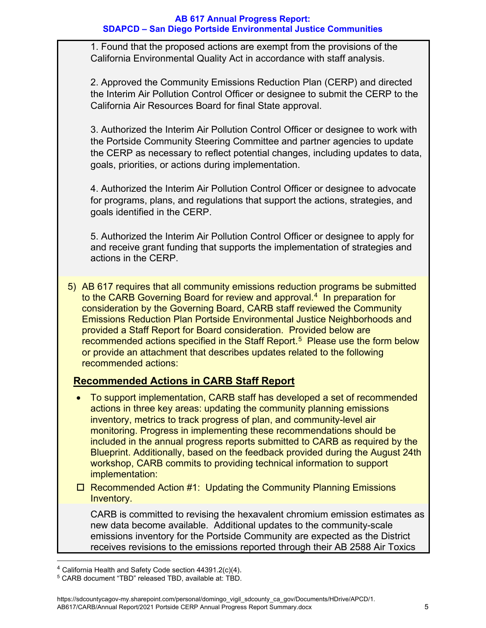1. Found that the proposed actions are exempt from the provisions of the California Environmental Quality Act in accordance with staff analysis.

2. Approved the Community Emissions Reduction Plan (CERP) and directed the Interim Air Pollution Control Officer or designee to submit the CERP to the California Air Resources Board for final State approval.

3. Authorized the Interim Air Pollution Control Officer or designee to work with the Portside Community Steering Committee and partner agencies to update the CERP as necessary to reflect potential changes, including updates to data, goals, priorities, or actions during implementation.

4. Authorized the Interim Air Pollution Control Officer or designee to advocate for programs, plans, and regulations that support the actions, strategies, and goals identified in the CERP.

5. Authorized the Interim Air Pollution Control Officer or designee to apply for and receive grant funding that supports the implementation of strategies and actions in the CERP.

5) AB 617 requires that all community emissions reduction programs be submitted to the CARB Governing Board for review and approval.<sup>[4](#page-4-0)</sup> In preparation for consideration by the Governing Board, CARB staff reviewed the Community Emissions Reduction Plan Portside Environmental Justice Neighborhoods and provided a Staff Report for Board consideration. Provided below are recommended actions specified in the Staff Report.<sup>[5](#page-4-1)</sup> Please use the form below or provide an attachment that describes updates related to the following recommended actions:

# **Recommended Actions in CARB Staff Report**

- To support implementation, CARB staff has developed a set of recommended actions in three key areas: updating the community planning emissions inventory, metrics to track progress of plan, and community-level air monitoring. Progress in implementing these recommendations should be included in the annual progress reports submitted to CARB as required by the Blueprint. Additionally, based on the feedback provided during the August 24th workshop, CARB commits to providing technical information to support implementation:
- $\Box$  Recommended Action #1: Updating the Community Planning Emissions Inventory.

CARB is committed to revising the hexavalent chromium emission estimates as new data become available. Additional updates to the community-scale emissions inventory for the Portside Community are expected as the District receives revisions to the emissions reported through their AB 2588 Air Toxics

<span id="page-4-0"></span> $4$  California Health and Safety Code section 44391.2(c)(4).

<span id="page-4-1"></span><sup>5</sup> CARB document "TBD" released TBD, available at: TBD.

https://sdcountycagov-my.sharepoint.com/personal/domingo\_vigil\_sdcounty\_ca\_gov/Documents/HDrive/APCD/1. AB617/CARB/Annual Report/2021 Portside CERP Annual Progress Report Summary.docx 5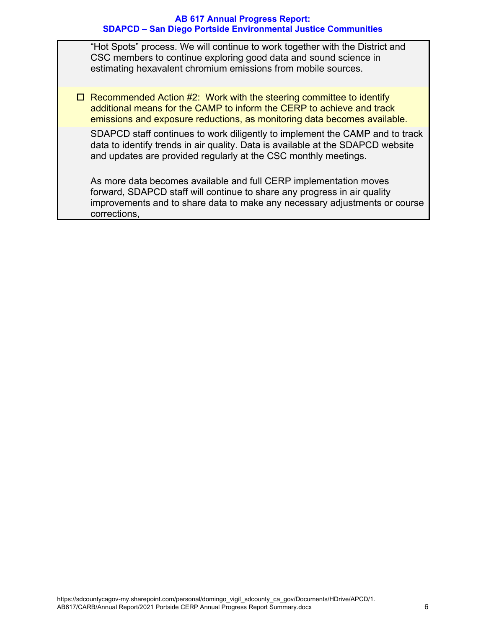"Hot Spots" process. We will continue to work together with the District and CSC members to continue exploring good data and sound science in estimating hexavalent chromium emissions from mobile sources.

 $\Box$  Recommended Action #2: Work with the steering committee to identify additional means for the CAMP to inform the CERP to achieve and track emissions and exposure reductions, as monitoring data becomes available.

SDAPCD staff continues to work diligently to implement the CAMP and to track data to identify trends in air quality. Data is available at the SDAPCD website and updates are provided regularly at the CSC monthly meetings.

As more data becomes available and full CERP implementation moves forward, SDAPCD staff will continue to share any progress in air quality improvements and to share data to make any necessary adjustments or course corrections,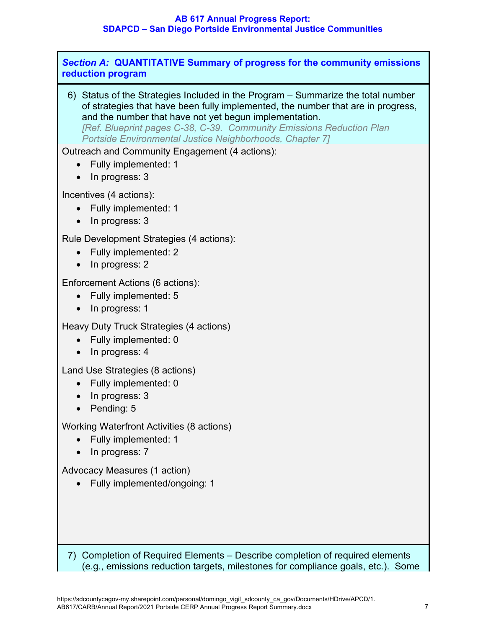*Section A:* **QUANTITATIVE Summary of progress for the community emissions reduction program**

6) Status of the Strategies Included in the Program – Summarize the total number of strategies that have been fully implemented, the number that are in progress, and the number that have not yet begun implementation. *[Ref. Blueprint pages C-38, C-39. Community Emissions Reduction Plan Portside Environmental Justice Neighborhoods, Chapter 7]*

Outreach and Community Engagement (4 actions):

- Fully implemented: 1
- In progress: 3

Incentives (4 actions):

- Fully implemented: 1
- In progress: 3

Rule Development Strategies (4 actions):

- Fully implemented: 2
- In progress: 2

Enforcement Actions (6 actions):

- Fully implemented: 5
- In progress: 1

Heavy Duty Truck Strategies (4 actions)

- Fully implemented: 0
- In progress: 4

Land Use Strategies (8 actions)

- Fully implemented: 0
- In progress: 3
- Pending: 5

Working Waterfront Activities (8 actions)

- Fully implemented: 1
- In progress: 7

Advocacy Measures (1 action)

• Fully implemented/ongoing: 1

7) Completion of Required Elements – Describe completion of required elements (e.g., emissions reduction targets, milestones for compliance goals, etc.). Some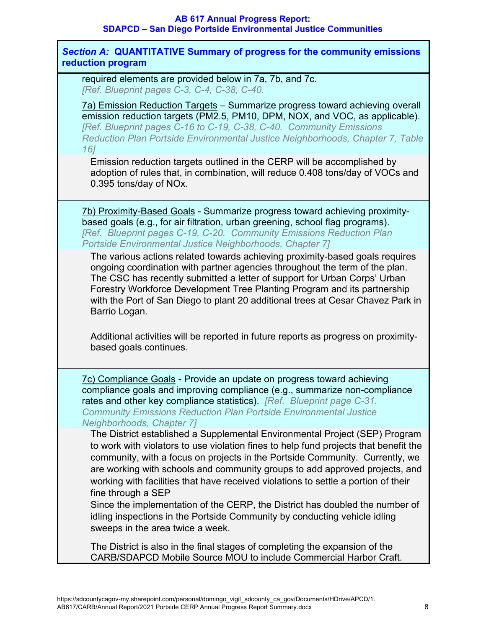*Section A:* **QUANTITATIVE Summary of progress for the community emissions reduction program**

required elements are provided below in 7a, 7b, and 7c. *[Ref. Blueprint pages C-3, C-4, C-38, C-40.*

7a) Emission Reduction Targets – Summarize progress toward achieving overall emission reduction targets (PM2.5, PM10, DPM, NOX, and VOC, as applicable). *[Ref. Blueprint pages C-16 to C-19, C-38, C-40. Community Emissions Reduction Plan Portside Environmental Justice Neighborhoods, Chapter 7, Table 16]*

Emission reduction targets outlined in the CERP will be accomplished by adoption of rules that, in combination, will reduce 0.408 tons/day of VOCs and 0.395 tons/day of NOx.

7b) Proximity-Based Goals - Summarize progress toward achieving proximitybased goals (e.g., for air filtration, urban greening, school flag programs). *[Ref. Blueprint pages C-19, C-20. Community Emissions Reduction Plan Portside Environmental Justice Neighborhoods, Chapter 7]*

The various actions related towards achieving proximity-based goals requires ongoing coordination with partner agencies throughout the term of the plan. The CSC has recently submitted a letter of support for Urban Corps' Urban Forestry Workforce Development Tree Planting Program and its partnership with the Port of San Diego to plant 20 additional trees at Cesar Chavez Park in Barrio Logan.

Additional activities will be reported in future reports as progress on proximitybased goals continues.

7c) Compliance Goals - Provide an update on progress toward achieving compliance goals and improving compliance (e.g., summarize non-compliance rates and other key compliance statistics). *[Ref. Blueprint page C-31. Community Emissions Reduction Plan Portside Environmental Justice Neighborhoods, Chapter 7]*

The District established a Supplemental Environmental Project (SEP) Program to work with violators to use violation fines to help fund projects that benefit the community, with a focus on projects in the Portside Community. Currently, we are working with schools and community groups to add approved projects, and working with facilities that have received violations to settle a portion of their fine through a SEP

Since the implementation of the CERP, the District has doubled the number of idling inspections in the Portside Community by conducting vehicle idling sweeps in the area twice a week.

The District is also in the final stages of completing the expansion of the CARB/SDAPCD Mobile Source MOU to include Commercial Harbor Craft.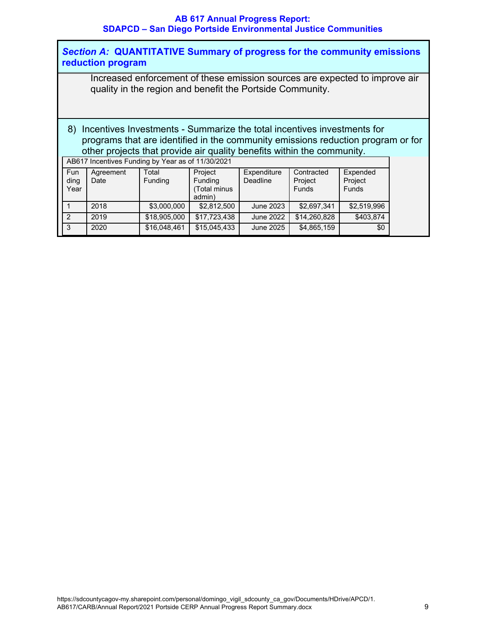| Section A: QUANTITATIVE Summary of progress for the community emissions<br>reduction program                                                                                                                                             |                   |                  |                                              |                         |                                       |                                     |  |  |  |
|------------------------------------------------------------------------------------------------------------------------------------------------------------------------------------------------------------------------------------------|-------------------|------------------|----------------------------------------------|-------------------------|---------------------------------------|-------------------------------------|--|--|--|
| Increased enforcement of these emission sources are expected to improve air<br>quality in the region and benefit the Portside Community.                                                                                                 |                   |                  |                                              |                         |                                       |                                     |  |  |  |
| 8) Incentives Investments - Summarize the total incentives investments for<br>programs that are identified in the community emissions reduction program or for<br>other projects that provide air quality benefits within the community. |                   |                  |                                              |                         |                                       |                                     |  |  |  |
| AB617 Incentives Funding by Year as of 11/30/2021                                                                                                                                                                                        |                   |                  |                                              |                         |                                       |                                     |  |  |  |
| <b>Fun</b><br>ding<br>Year                                                                                                                                                                                                               | Agreement<br>Date | Total<br>Funding | Project<br>Funding<br>(Total minus<br>admin) | Expenditure<br>Deadline | Contracted<br>Project<br><b>Funds</b> | Expended<br>Project<br><b>Funds</b> |  |  |  |
| 1                                                                                                                                                                                                                                        | 2018              | \$3,000,000      | \$2,812,500                                  | June 2023               | \$2,697,341                           | \$2,519,996                         |  |  |  |
| 2                                                                                                                                                                                                                                        | 2019              | \$18,905,000     | \$17,723,438                                 | <b>June 2022</b>        | \$14,260,828                          | \$403,874                           |  |  |  |
| 3                                                                                                                                                                                                                                        | 2020              | \$16,048,461     | \$15,045,433                                 | June 2025               | \$4,865,159                           | \$0                                 |  |  |  |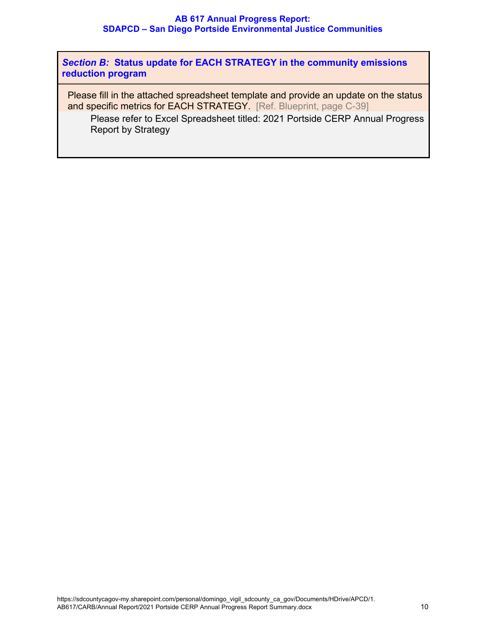*Section B:* **Status update for EACH STRATEGY in the community emissions reduction program**

Please fill in the attached spreadsheet template and provide an update on the status and specific metrics for EACH STRATEGY. [Ref. Blueprint, page C-39]

Please refer to Excel Spreadsheet titled: 2021 Portside CERP Annual Progress Report by Strategy